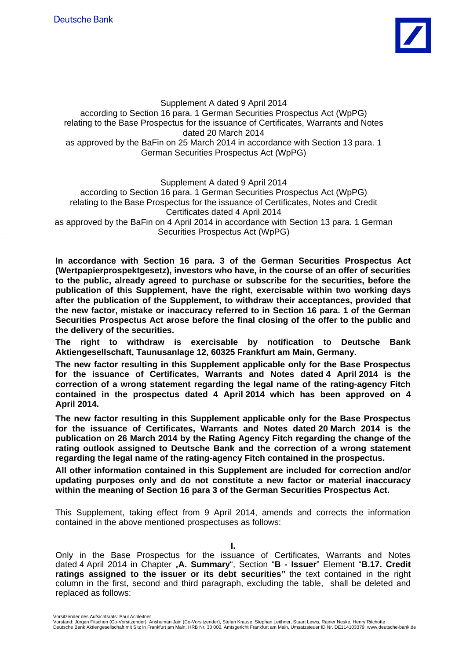

Supplement A dated 9 April 2014 according to Section 16 para. 1 German Securities Prospectus Act (WpPG) relating to the Base Prospectus for the issuance of Certificates, Warrants and Notes dated 20 March 2014 as approved by the BaFin on 25 March 2014 in accordance with Section 13 para. 1 German Securities Prospectus Act (WpPG)

Supplement A dated 9 April 2014

according to Section 16 para. 1 German Securities Prospectus Act (WpPG) relating to the Base Prospectus for the issuance of Certificates, Notes and Credit Certificates dated 4 April 2014

as approved by the BaFin on 4 April 2014 in accordance with Section 13 para. 1 German Securities Prospectus Act (WpPG)

**In accordance with Section 16 para. 3 of the German Securities Prospectus Act (Wertpapierprospektgesetz), investors who have, in the course of an offer of securities to the public, already agreed to purchase or subscribe for the securities, before the publication of this Supplement, have the right, exercisable within two working days after the publication of the Supplement, to withdraw their acceptances, provided that the new factor, mistake or inaccuracy referred to in Section 16 para. 1 of the German Securities Prospectus Act arose before the final closing of the offer to the public and the delivery of the securities.** 

**The right to withdraw is exercisable by notification to Deutsche Bank Aktiengesellschaft, Taunusanlage 12, 60325 Frankfurt am Main, Germany.** 

**The new factor resulting in this Supplement applicable only for the Base Prospectus for the issuance of Certificates, Warrants and Notes dated 4 April 2014 is the correction of a wrong statement regarding the legal name of the rating-agency Fitch contained in the prospectus dated 4 April 2014 which has been approved on 4 April 2014.** 

**The new factor resulting in this Supplement applicable only for the Base Prospectus for the issuance of Certificates, Warrants and Notes dated 20 March 2014 is the publication on 26 March 2014 by the Rating Agency Fitch regarding the change of the rating outlook assigned to Deutsche Bank and the correction of a wrong statement regarding the legal name of the rating-agency Fitch contained in the prospectus.** 

**All other information contained in this Supplement are included for correction and/or updating purposes only and do not constitute a new factor or material inaccuracy within the meaning of Section 16 para 3 of the German Securities Prospectus Act.** 

This Supplement, taking effect from 9 April 2014, amends and corrects the information contained in the above mentioned prospectuses as follows:

**I.** 

Only in the Base Prospectus for the issuance of Certificates, Warrants and Notes dated 4 April 2014 in Chapter "**A. Summary**", Section "**B - Issuer**" Element "**B.17. Credit ratings assigned to the issuer or its debt securities"** the text contained in the right column in the first, second and third paragraph, excluding the table, shall be deleted and replaced as follows:

Vorsitzender des Aufsichtsrats: Paul Achleitner

Vorstand: Jürgen Fitschen (Co-Vorsitzender), Anshuman Jain (Co-Vorsitzender), Stefan Krause, Stephan Leithner, Stuart Lewis, Rainer Neske, Henry Ritchotte Deutsche Bank Aktiengesellschaft mit Sitz in Frankfurt am Main, HRB Nr. 30 000, Amtsgericht Frankfurt am Main, Umsatzsteuer ID Nr. DE114103379; www.deutsche-bank.de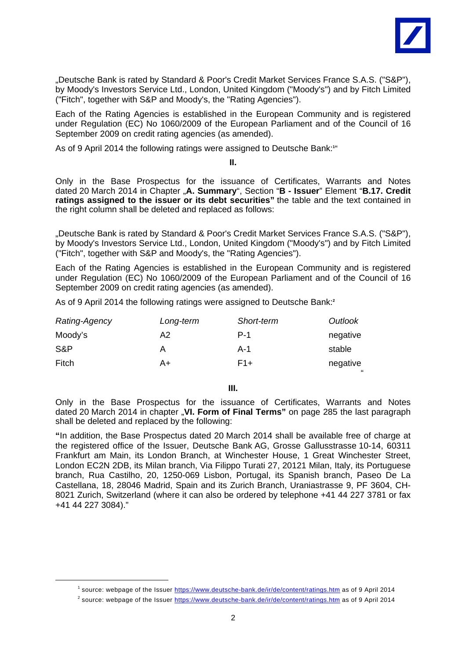

"Deutsche Bank is rated by Standard & Poor's Credit Market Services France S.A.S. ("S&P"), by Moody's Investors Service Ltd., London, United Kingdom ("Moody's") and by Fitch Limited ("Fitch", together with S&P and Moody's, the "Rating Agencies").

Each of the Rating Agencies is established in the European Community and is registered under Regulation (EC) No 1060/2009 of the European Parliament and of the Council of 16 September 2009 on credit rating agencies (as amended).

As of 9 April 2014 the following ratings were assigned to Deutsche Bank:**<sup>1</sup>** "

**II.** 

Only in the Base Prospectus for the issuance of Certificates, Warrants and Notes dated 20 March 2014 in Chapter "**A. Summary**", Section "**B - Issuer**" Element "**B.17. Credit ratings assigned to the issuer or its debt securities"** the table and the text contained in the right column shall be deleted and replaced as follows:

"Deutsche Bank is rated by Standard & Poor's Credit Market Services France S.A.S. ("S&P"), by Moody's Investors Service Ltd., London, United Kingdom ("Moody's") and by Fitch Limited ("Fitch", together with S&P and Moody's, the "Rating Agencies").

Each of the Rating Agencies is established in the European Community and is registered under Regulation (EC) No 1060/2009 of the European Parliament and of the Council of 16 September 2009 on credit rating agencies (as amended).

As of 9 April 2014 the following ratings were assigned to Deutsche Bank:**<sup>2</sup>**

| Rating-Agency | Long-term | Short-term | Outlook  |
|---------------|-----------|------------|----------|
| Moody's       | A2        | $P-1$      | negative |
| S&P           | А         | A-1        | stable   |
| Fitch         | A+        | F1+        | negative |

"

**III.** 

Only in the Base Prospectus for the issuance of Certificates, Warrants and Notes dated 20 March 2014 in chapter "VI. Form of Final Terms" on page 285 the last paragraph shall be deleted and replaced by the following:

**"**In addition, the Base Prospectus dated 20 March 2014 shall be available free of charge at the registered office of the Issuer, Deutsche Bank AG, Grosse Gallusstrasse 10-14, 60311 Frankfurt am Main, its London Branch, at Winchester House, 1 Great Winchester Street, London EC2N 2DB, its Milan branch, Via Filippo Turati 27, 20121 Milan, Italy, its Portuguese branch, Rua Castilho, 20, 1250-069 Lisbon, Portugal, its Spanish branch, Paseo De La Castellana, 18, 28046 Madrid, Spain and its Zurich Branch, Uraniastrasse 9, PF 3604, CH-8021 Zurich, Switzerland (where it can also be ordered by telephone +41 44 227 3781 or fax +41 44 227 3084)."

 $\overline{\phantom{a}}$ <sup>1</sup> source: webpage of the Issuer https://www.deutsche-bank.de/ir/de/content/ratings.htm as of 9 April 2014

 $^2$  source: webpage of the Issuer https://www.deutsche-bank.de/ir/de/content/ratings.htm as of 9 April 2014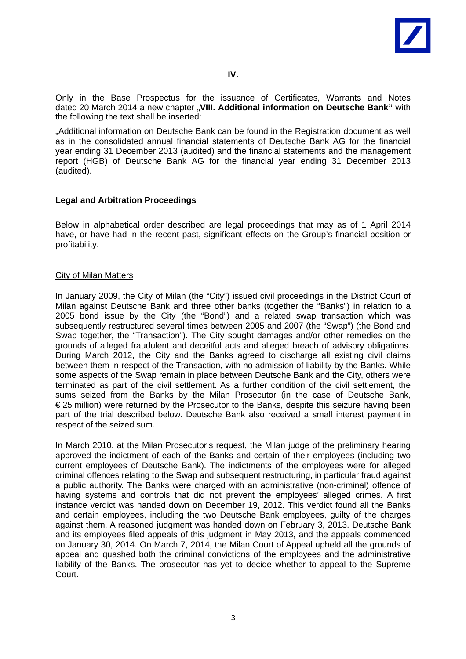

Only in the Base Prospectus for the issuance of Certificates, Warrants and Notes dated 20 March 2014 a new chapter "**VIII. Additional information on Deutsche Bank"** with the following the text shall be inserted:

"Additional information on Deutsche Bank can be found in the Registration document as well as in the consolidated annual financial statements of Deutsche Bank AG for the financial year ending 31 December 2013 (audited) and the financial statements and the management report (HGB) of Deutsche Bank AG for the financial year ending 31 December 2013 (audited).

# **Legal and Arbitration Proceedings**

Below in alphabetical order described are legal proceedings that may as of 1 April 2014 have, or have had in the recent past, significant effects on the Group's financial position or profitability.

# City of Milan Matters

In January 2009, the City of Milan (the "City") issued civil proceedings in the District Court of Milan against Deutsche Bank and three other banks (together the "Banks") in relation to a 2005 bond issue by the City (the "Bond") and a related swap transaction which was subsequently restructured several times between 2005 and 2007 (the "Swap") (the Bond and Swap together, the "Transaction"). The City sought damages and/or other remedies on the grounds of alleged fraudulent and deceitful acts and alleged breach of advisory obligations. During March 2012, the City and the Banks agreed to discharge all existing civil claims between them in respect of the Transaction, with no admission of liability by the Banks. While some aspects of the Swap remain in place between Deutsche Bank and the City, others were terminated as part of the civil settlement. As a further condition of the civil settlement, the sums seized from the Banks by the Milan Prosecutor (in the case of Deutsche Bank, € 25 million) were returned by the Prosecutor to the Banks, despite this seizure having been part of the trial described below. Deutsche Bank also received a small interest payment in respect of the seized sum.

In March 2010, at the Milan Prosecutor's request, the Milan judge of the preliminary hearing approved the indictment of each of the Banks and certain of their employees (including two current employees of Deutsche Bank). The indictments of the employees were for alleged criminal offences relating to the Swap and subsequent restructuring, in particular fraud against a public authority. The Banks were charged with an administrative (non-criminal) offence of having systems and controls that did not prevent the employees' alleged crimes. A first instance verdict was handed down on December 19, 2012. This verdict found all the Banks and certain employees, including the two Deutsche Bank employees, guilty of the charges against them. A reasoned judgment was handed down on February 3, 2013. Deutsche Bank and its employees filed appeals of this judgment in May 2013, and the appeals commenced on January 30, 2014. On March 7, 2014, the Milan Court of Appeal upheld all the grounds of appeal and quashed both the criminal convictions of the employees and the administrative liability of the Banks. The prosecutor has yet to decide whether to appeal to the Supreme Court.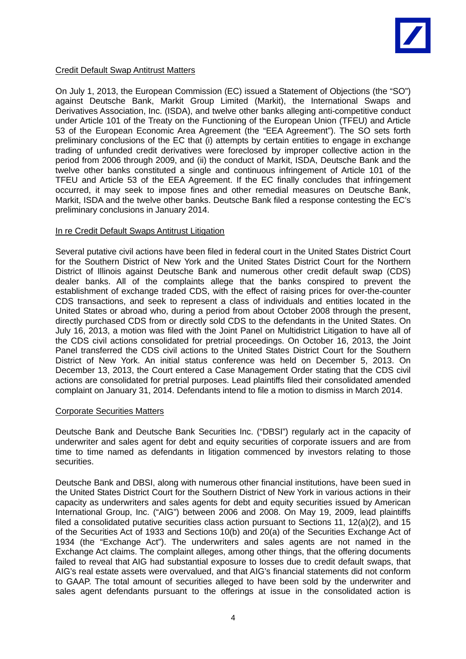

### Credit Default Swap Antitrust Matters

On July 1, 2013, the European Commission (EC) issued a Statement of Objections (the "SO") against Deutsche Bank, Markit Group Limited (Markit), the International Swaps and Derivatives Association, Inc. (ISDA), and twelve other banks alleging anti-competitive conduct under Article 101 of the Treaty on the Functioning of the European Union (TFEU) and Article 53 of the European Economic Area Agreement (the "EEA Agreement"). The SO sets forth preliminary conclusions of the EC that (i) attempts by certain entities to engage in exchange trading of unfunded credit derivatives were foreclosed by improper collective action in the period from 2006 through 2009, and (ii) the conduct of Markit, ISDA, Deutsche Bank and the twelve other banks constituted a single and continuous infringement of Article 101 of the TFEU and Article 53 of the EEA Agreement. If the EC finally concludes that infringement occurred, it may seek to impose fines and other remedial measures on Deutsche Bank, Markit, ISDA and the twelve other banks. Deutsche Bank filed a response contesting the EC's preliminary conclusions in January 2014.

### In re Credit Default Swaps Antitrust Litigation

Several putative civil actions have been filed in federal court in the United States District Court for the Southern District of New York and the United States District Court for the Northern District of Illinois against Deutsche Bank and numerous other credit default swap (CDS) dealer banks. All of the complaints allege that the banks conspired to prevent the establishment of exchange traded CDS, with the effect of raising prices for over-the-counter CDS transactions, and seek to represent a class of individuals and entities located in the United States or abroad who, during a period from about October 2008 through the present, directly purchased CDS from or directly sold CDS to the defendants in the United States. On July 16, 2013, a motion was filed with the Joint Panel on Multidistrict Litigation to have all of the CDS civil actions consolidated for pretrial proceedings. On October 16, 2013, the Joint Panel transferred the CDS civil actions to the United States District Court for the Southern District of New York. An initial status conference was held on December 5, 2013. On December 13, 2013, the Court entered a Case Management Order stating that the CDS civil actions are consolidated for pretrial purposes. Lead plaintiffs filed their consolidated amended complaint on January 31, 2014. Defendants intend to file a motion to dismiss in March 2014.

# Corporate Securities Matters

Deutsche Bank and Deutsche Bank Securities Inc. ("DBSI") regularly act in the capacity of underwriter and sales agent for debt and equity securities of corporate issuers and are from time to time named as defendants in litigation commenced by investors relating to those securities.

Deutsche Bank and DBSI, along with numerous other financial institutions, have been sued in the United States District Court for the Southern District of New York in various actions in their capacity as underwriters and sales agents for debt and equity securities issued by American International Group, Inc. ("AIG") between 2006 and 2008. On May 19, 2009, lead plaintiffs filed a consolidated putative securities class action pursuant to Sections 11, 12(a)(2), and 15 of the Securities Act of 1933 and Sections 10(b) and 20(a) of the Securities Exchange Act of 1934 (the "Exchange Act"). The underwriters and sales agents are not named in the Exchange Act claims. The complaint alleges, among other things, that the offering documents failed to reveal that AIG had substantial exposure to losses due to credit default swaps, that AIG's real estate assets were overvalued, and that AIG's financial statements did not conform to GAAP. The total amount of securities alleged to have been sold by the underwriter and sales agent defendants pursuant to the offerings at issue in the consolidated action is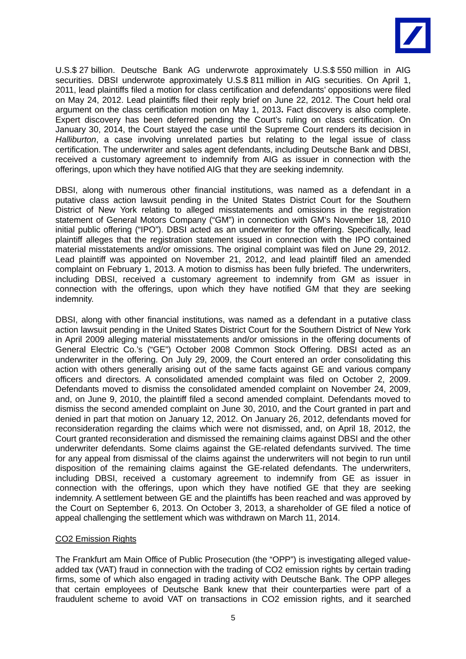

U.S.\$ 27 billion. Deutsche Bank AG underwrote approximately U.S.\$ 550 million in AIG securities. DBSI underwrote approximately U.S.\$ 811 million in AIG securities. On April 1, 2011, lead plaintiffs filed a motion for class certification and defendants' oppositions were filed on May 24, 2012. Lead plaintiffs filed their reply brief on June 22, 2012. The Court held oral argument on the class certification motion on May 1, 2013**.** Fact discovery is also complete. Expert discovery has been deferred pending the Court's ruling on class certification. On January 30, 2014, the Court stayed the case until the Supreme Court renders its decision in *Halliburton*, a case involving unrelated parties but relating to the legal issue of class certification. The underwriter and sales agent defendants, including Deutsche Bank and DBSI, received a customary agreement to indemnify from AIG as issuer in connection with the offerings, upon which they have notified AIG that they are seeking indemnity.

DBSI, along with numerous other financial institutions, was named as a defendant in a putative class action lawsuit pending in the United States District Court for the Southern District of New York relating to alleged misstatements and omissions in the registration statement of General Motors Company ("GM") in connection with GM's November 18, 2010 initial public offering ("IPO"). DBSI acted as an underwriter for the offering. Specifically, lead plaintiff alleges that the registration statement issued in connection with the IPO contained material misstatements and/or omissions. The original complaint was filed on June 29, 2012. Lead plaintiff was appointed on November 21, 2012, and lead plaintiff filed an amended complaint on February 1, 2013. A motion to dismiss has been fully briefed. The underwriters, including DBSI, received a customary agreement to indemnify from GM as issuer in connection with the offerings, upon which they have notified GM that they are seeking indemnity.

DBSI, along with other financial institutions, was named as a defendant in a putative class action lawsuit pending in the United States District Court for the Southern District of New York in April 2009 alleging material misstatements and/or omissions in the offering documents of General Electric Co.'s ("GE") October 2008 Common Stock Offering. DBSI acted as an underwriter in the offering. On July 29, 2009, the Court entered an order consolidating this action with others generally arising out of the same facts against GE and various company officers and directors. A consolidated amended complaint was filed on October 2, 2009. Defendants moved to dismiss the consolidated amended complaint on November 24, 2009, and, on June 9, 2010, the plaintiff filed a second amended complaint. Defendants moved to dismiss the second amended complaint on June 30, 2010, and the Court granted in part and denied in part that motion on January 12, 2012. On January 26, 2012, defendants moved for reconsideration regarding the claims which were not dismissed, and, on April 18, 2012, the Court granted reconsideration and dismissed the remaining claims against DBSI and the other underwriter defendants. Some claims against the GE-related defendants survived. The time for any appeal from dismissal of the claims against the underwriters will not begin to run until disposition of the remaining claims against the GE-related defendants. The underwriters, including DBSI, received a customary agreement to indemnify from GE as issuer in connection with the offerings, upon which they have notified GE that they are seeking indemnity. A settlement between GE and the plaintiffs has been reached and was approved by the Court on September 6, 2013. On October 3, 2013, a shareholder of GE filed a notice of appeal challenging the settlement which was withdrawn on March 11, 2014.

# CO2 Emission Rights

The Frankfurt am Main Office of Public Prosecution (the "OPP") is investigating alleged valueadded tax (VAT) fraud in connection with the trading of CO2 emission rights by certain trading firms, some of which also engaged in trading activity with Deutsche Bank. The OPP alleges that certain employees of Deutsche Bank knew that their counterparties were part of a fraudulent scheme to avoid VAT on transactions in CO2 emission rights, and it searched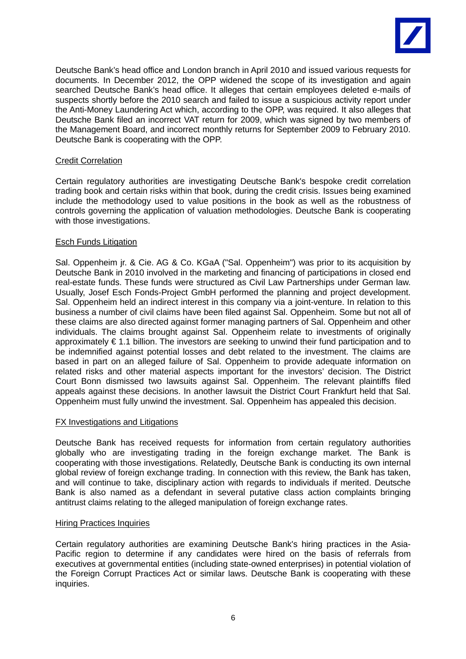

Deutsche Bank's head office and London branch in April 2010 and issued various requests for documents. In December 2012, the OPP widened the scope of its investigation and again searched Deutsche Bank's head office. It alleges that certain employees deleted e-mails of suspects shortly before the 2010 search and failed to issue a suspicious activity report under the Anti-Money Laundering Act which, according to the OPP, was required. It also alleges that Deutsche Bank filed an incorrect VAT return for 2009, which was signed by two members of the Management Board, and incorrect monthly returns for September 2009 to February 2010. Deutsche Bank is cooperating with the OPP.

# Credit Correlation

Certain regulatory authorities are investigating Deutsche Bank's bespoke credit correlation trading book and certain risks within that book, during the credit crisis. Issues being examined include the methodology used to value positions in the book as well as the robustness of controls governing the application of valuation methodologies. Deutsche Bank is cooperating with those investigations.

# Esch Funds Litigation

Sal. Oppenheim jr. & Cie. AG & Co. KGaA ("Sal. Oppenheim") was prior to its acquisition by Deutsche Bank in 2010 involved in the marketing and financing of participations in closed end real-estate funds. These funds were structured as Civil Law Partnerships under German law. Usually, Josef Esch Fonds-Project GmbH performed the planning and project development. Sal. Oppenheim held an indirect interest in this company via a joint-venture. In relation to this business a number of civil claims have been filed against Sal. Oppenheim. Some but not all of these claims are also directed against former managing partners of Sal. Oppenheim and other individuals. The claims brought against Sal. Oppenheim relate to investments of originally approximately € 1.1 billion. The investors are seeking to unwind their fund participation and to be indemnified against potential losses and debt related to the investment. The claims are based in part on an alleged failure of Sal. Oppenheim to provide adequate information on related risks and other material aspects important for the investors' decision. The District Court Bonn dismissed two lawsuits against Sal. Oppenheim. The relevant plaintiffs filed appeals against these decisions. In another lawsuit the District Court Frankfurt held that Sal. Oppenheim must fully unwind the investment. Sal. Oppenheim has appealed this decision.

# FX Investigations and Litigations

Deutsche Bank has received requests for information from certain regulatory authorities globally who are investigating trading in the foreign exchange market. The Bank is cooperating with those investigations. Relatedly, Deutsche Bank is conducting its own internal global review of foreign exchange trading. In connection with this review, the Bank has taken, and will continue to take, disciplinary action with regards to individuals if merited. Deutsche Bank is also named as a defendant in several putative class action complaints bringing antitrust claims relating to the alleged manipulation of foreign exchange rates.

### Hiring Practices Inquiries

Certain regulatory authorities are examining Deutsche Bank's hiring practices in the Asia-Pacific region to determine if any candidates were hired on the basis of referrals from executives at governmental entities (including state-owned enterprises) in potential violation of the Foreign Corrupt Practices Act or similar laws. Deutsche Bank is cooperating with these inquiries.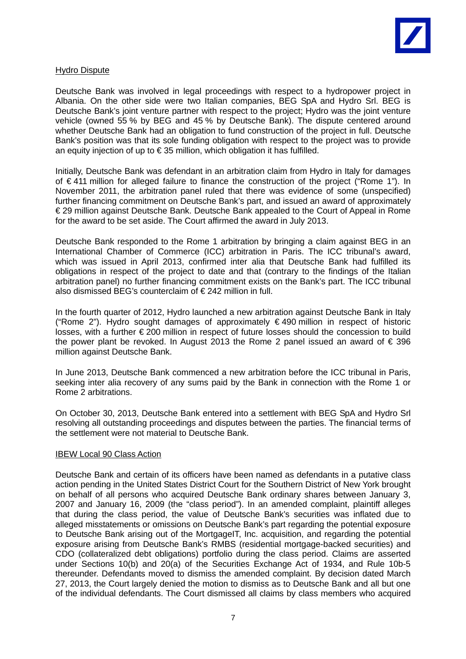

### Hydro Dispute

Deutsche Bank was involved in legal proceedings with respect to a hydropower project in Albania. On the other side were two Italian companies, BEG SpA and Hydro Srl. BEG is Deutsche Bank's joint venture partner with respect to the project; Hydro was the joint venture vehicle (owned 55 % by BEG and 45 % by Deutsche Bank). The dispute centered around whether Deutsche Bank had an obligation to fund construction of the project in full. Deutsche Bank's position was that its sole funding obligation with respect to the project was to provide an equity injection of up to € 35 million, which obligation it has fulfilled.

Initially, Deutsche Bank was defendant in an arbitration claim from Hydro in Italy for damages of € 411 million for alleged failure to finance the construction of the project ("Rome 1"). In November 2011, the arbitration panel ruled that there was evidence of some (unspecified) further financing commitment on Deutsche Bank's part, and issued an award of approximately € 29 million against Deutsche Bank. Deutsche Bank appealed to the Court of Appeal in Rome for the award to be set aside. The Court affirmed the award in July 2013.

Deutsche Bank responded to the Rome 1 arbitration by bringing a claim against BEG in an International Chamber of Commerce (ICC) arbitration in Paris. The ICC tribunal's award, which was issued in April 2013, confirmed inter alia that Deutsche Bank had fulfilled its obligations in respect of the project to date and that (contrary to the findings of the Italian arbitration panel) no further financing commitment exists on the Bank's part. The ICC tribunal also dismissed BEG's counterclaim of € 242 million in full.

In the fourth quarter of 2012, Hydro launched a new arbitration against Deutsche Bank in Italy ("Rome 2"). Hydro sought damages of approximately € 490 million in respect of historic losses, with a further € 200 million in respect of future losses should the concession to build the power plant be revoked. In August 2013 the Rome 2 panel issued an award of  $\epsilon$  396 million against Deutsche Bank.

In June 2013, Deutsche Bank commenced a new arbitration before the ICC tribunal in Paris, seeking inter alia recovery of any sums paid by the Bank in connection with the Rome 1 or Rome 2 arbitrations.

On October 30, 2013, Deutsche Bank entered into a settlement with BEG SpA and Hydro Srl resolving all outstanding proceedings and disputes between the parties. The financial terms of the settlement were not material to Deutsche Bank.

### IBEW Local 90 Class Action

Deutsche Bank and certain of its officers have been named as defendants in a putative class action pending in the United States District Court for the Southern District of New York brought on behalf of all persons who acquired Deutsche Bank ordinary shares between January 3, 2007 and January 16, 2009 (the "class period"). In an amended complaint, plaintiff alleges that during the class period, the value of Deutsche Bank's securities was inflated due to alleged misstatements or omissions on Deutsche Bank's part regarding the potential exposure to Deutsche Bank arising out of the MortgageIT, Inc. acquisition, and regarding the potential exposure arising from Deutsche Bank's RMBS (residential mortgage-backed securities) and CDO (collateralized debt obligations) portfolio during the class period. Claims are asserted under Sections 10(b) and 20(a) of the Securities Exchange Act of 1934, and Rule 10b-5 thereunder. Defendants moved to dismiss the amended complaint. By decision dated March 27, 2013, the Court largely denied the motion to dismiss as to Deutsche Bank and all but one of the individual defendants. The Court dismissed all claims by class members who acquired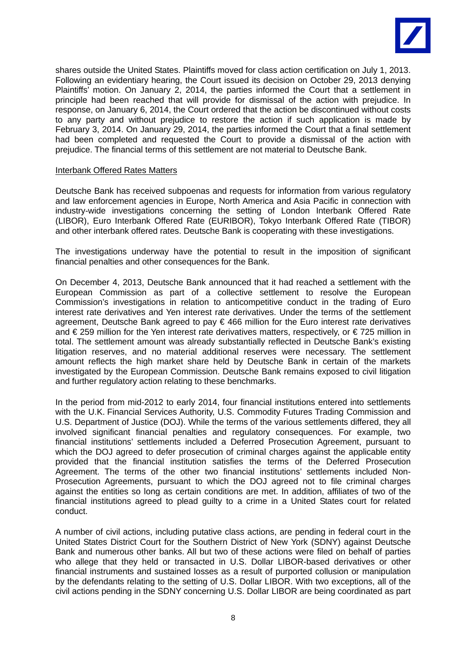

shares outside the United States. Plaintiffs moved for class action certification on July 1, 2013. Following an evidentiary hearing, the Court issued its decision on October 29, 2013 denying Plaintiffs' motion. On January 2, 2014, the parties informed the Court that a settlement in principle had been reached that will provide for dismissal of the action with prejudice. In response, on January 6, 2014, the Court ordered that the action be discontinued without costs to any party and without prejudice to restore the action if such application is made by February 3, 2014. On January 29, 2014, the parties informed the Court that a final settlement had been completed and requested the Court to provide a dismissal of the action with prejudice. The financial terms of this settlement are not material to Deutsche Bank.

### Interbank Offered Rates Matters

Deutsche Bank has received subpoenas and requests for information from various regulatory and law enforcement agencies in Europe, North America and Asia Pacific in connection with industry-wide investigations concerning the setting of London Interbank Offered Rate (LIBOR), Euro Interbank Offered Rate (EURIBOR), Tokyo Interbank Offered Rate (TIBOR) and other interbank offered rates. Deutsche Bank is cooperating with these investigations.

The investigations underway have the potential to result in the imposition of significant financial penalties and other consequences for the Bank.

On December 4, 2013, Deutsche Bank announced that it had reached a settlement with the European Commission as part of a collective settlement to resolve the European Commission's investigations in relation to anticompetitive conduct in the trading of Euro interest rate derivatives and Yen interest rate derivatives. Under the terms of the settlement agreement, Deutsche Bank agreed to pay € 466 million for the Euro interest rate derivatives and € 259 million for the Yen interest rate derivatives matters, respectively, or € 725 million in total. The settlement amount was already substantially reflected in Deutsche Bank's existing litigation reserves, and no material additional reserves were necessary. The settlement amount reflects the high market share held by Deutsche Bank in certain of the markets investigated by the European Commission. Deutsche Bank remains exposed to civil litigation and further regulatory action relating to these benchmarks.

In the period from mid-2012 to early 2014, four financial institutions entered into settlements with the U.K. Financial Services Authority, U.S. Commodity Futures Trading Commission and U.S. Department of Justice (DOJ). While the terms of the various settlements differed, they all involved significant financial penalties and regulatory consequences. For example, two financial institutions' settlements included a Deferred Prosecution Agreement, pursuant to which the DOJ agreed to defer prosecution of criminal charges against the applicable entity provided that the financial institution satisfies the terms of the Deferred Prosecution Agreement. The terms of the other two financial institutions' settlements included Non-Prosecution Agreements, pursuant to which the DOJ agreed not to file criminal charges against the entities so long as certain conditions are met. In addition, affiliates of two of the financial institutions agreed to plead guilty to a crime in a United States court for related conduct.

A number of civil actions, including putative class actions, are pending in federal court in the United States District Court for the Southern District of New York (SDNY) against Deutsche Bank and numerous other banks. All but two of these actions were filed on behalf of parties who allege that they held or transacted in U.S. Dollar LIBOR-based derivatives or other financial instruments and sustained losses as a result of purported collusion or manipulation by the defendants relating to the setting of U.S. Dollar LIBOR. With two exceptions, all of the civil actions pending in the SDNY concerning U.S. Dollar LIBOR are being coordinated as part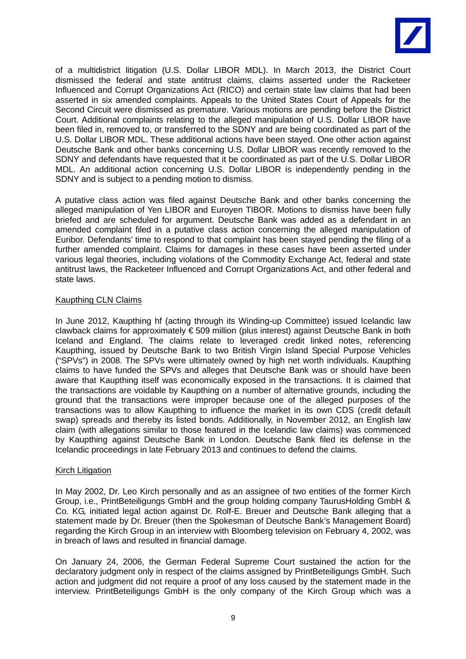

of a multidistrict litigation (U.S. Dollar LIBOR MDL). In March 2013, the District Court dismissed the federal and state antitrust claims, claims asserted under the Racketeer Influenced and Corrupt Organizations Act (RICO) and certain state law claims that had been asserted in six amended complaints. Appeals to the United States Court of Appeals for the Second Circuit were dismissed as premature. Various motions are pending before the District Court. Additional complaints relating to the alleged manipulation of U.S. Dollar LIBOR have been filed in, removed to, or transferred to the SDNY and are being coordinated as part of the U.S. Dollar LIBOR MDL. These additional actions have been stayed. One other action against Deutsche Bank and other banks concerning U.S. Dollar LIBOR was recently removed to the SDNY and defendants have requested that it be coordinated as part of the U.S. Dollar LIBOR MDL. An additional action concerning U.S. Dollar LIBOR is independently pending in the SDNY and is subject to a pending motion to dismiss.

A putative class action was filed against Deutsche Bank and other banks concerning the alleged manipulation of Yen LIBOR and Euroyen TIBOR. Motions to dismiss have been fully briefed and are scheduled for argument. Deutsche Bank was added as a defendant in an amended complaint filed in a putative class action concerning the alleged manipulation of Euribor. Defendants' time to respond to that complaint has been stayed pending the filing of a further amended complaint. Claims for damages in these cases have been asserted under various legal theories, including violations of the Commodity Exchange Act, federal and state antitrust laws, the Racketeer Influenced and Corrupt Organizations Act, and other federal and state laws.

### Kaupthing CLN Claims

In June 2012, Kaupthing hf (acting through its Winding-up Committee) issued Icelandic law clawback claims for approximately € 509 million (plus interest) against Deutsche Bank in both Iceland and England. The claims relate to leveraged credit linked notes, referencing Kaupthing, issued by Deutsche Bank to two British Virgin Island Special Purpose Vehicles ("SPVs") in 2008. The SPVs were ultimately owned by high net worth individuals. Kaupthing claims to have funded the SPVs and alleges that Deutsche Bank was or should have been aware that Kaupthing itself was economically exposed in the transactions. It is claimed that the transactions are voidable by Kaupthing on a number of alternative grounds, including the ground that the transactions were improper because one of the alleged purposes of the transactions was to allow Kaupthing to influence the market in its own CDS (credit default swap) spreads and thereby its listed bonds. Additionally, in November 2012, an English law claim (with allegations similar to those featured in the Icelandic law claims) was commenced by Kaupthing against Deutsche Bank in London. Deutsche Bank filed its defense in the Icelandic proceedings in late February 2013 and continues to defend the claims.

### **Kirch Litigation**

In May 2002, Dr. Leo Kirch personally and as an assignee of two entities of the former Kirch Group, i.e., PrintBeteiligungs GmbH and the group holding company TaurusHolding GmbH & Co. KG, initiated legal action against Dr. Rolf-E. Breuer and Deutsche Bank alleging that a statement made by Dr. Breuer (then the Spokesman of Deutsche Bank's Management Board) regarding the Kirch Group in an interview with Bloomberg television on February 4, 2002, was in breach of laws and resulted in financial damage.

On January 24, 2006, the German Federal Supreme Court sustained the action for the declaratory judgment only in respect of the claims assigned by PrintBeteiligungs GmbH. Such action and judgment did not require a proof of any loss caused by the statement made in the interview. PrintBeteiligungs GmbH is the only company of the Kirch Group which was a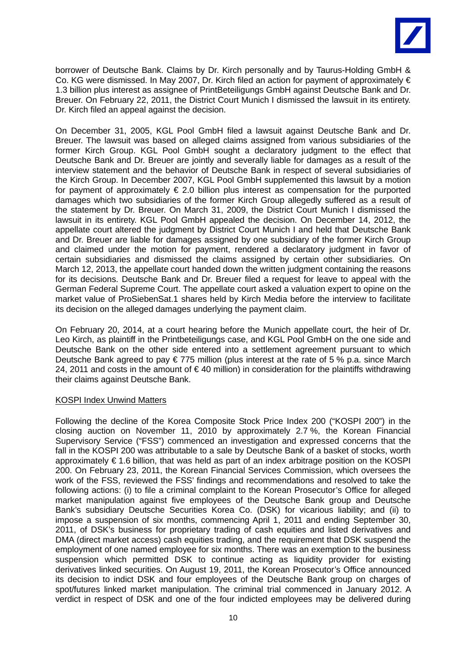

borrower of Deutsche Bank. Claims by Dr. Kirch personally and by Taurus-Holding GmbH & Co. KG were dismissed. In May 2007, Dr. Kirch filed an action for payment of approximately € 1.3 billion plus interest as assignee of PrintBeteiligungs GmbH against Deutsche Bank and Dr. Breuer. On February 22, 2011, the District Court Munich I dismissed the lawsuit in its entirety. Dr. Kirch filed an appeal against the decision.

On December 31, 2005, KGL Pool GmbH filed a lawsuit against Deutsche Bank and Dr. Breuer. The lawsuit was based on alleged claims assigned from various subsidiaries of the former Kirch Group. KGL Pool GmbH sought a declaratory judgment to the effect that Deutsche Bank and Dr. Breuer are jointly and severally liable for damages as a result of the interview statement and the behavior of Deutsche Bank in respect of several subsidiaries of the Kirch Group. In December 2007, KGL Pool GmbH supplemented this lawsuit by a motion for payment of approximately  $\epsilon$  2.0 billion plus interest as compensation for the purported damages which two subsidiaries of the former Kirch Group allegedly suffered as a result of the statement by Dr. Breuer. On March 31, 2009, the District Court Munich I dismissed the lawsuit in its entirety. KGL Pool GmbH appealed the decision. On December 14, 2012, the appellate court altered the judgment by District Court Munich I and held that Deutsche Bank and Dr. Breuer are liable for damages assigned by one subsidiary of the former Kirch Group and claimed under the motion for payment, rendered a declaratory judgment in favor of certain subsidiaries and dismissed the claims assigned by certain other subsidiaries. On March 12, 2013, the appellate court handed down the written judgment containing the reasons for its decisions. Deutsche Bank and Dr. Breuer filed a request for leave to appeal with the German Federal Supreme Court. The appellate court asked a valuation expert to opine on the market value of ProSiebenSat.1 shares held by Kirch Media before the interview to facilitate its decision on the alleged damages underlying the payment claim.

On February 20, 2014, at a court hearing before the Munich appellate court, the heir of Dr. Leo Kirch, as plaintiff in the Printbeteiligungs case, and KGL Pool GmbH on the one side and Deutsche Bank on the other side entered into a settlement agreement pursuant to which Deutsche Bank agreed to pay  $\epsilon$  775 million (plus interest at the rate of 5 % p.a. since March 24, 2011 and costs in the amount of  $\in$  40 million) in consideration for the plaintiffs withdrawing their claims against Deutsche Bank.

### KOSPI Index Unwind Matters

Following the decline of the Korea Composite Stock Price Index 200 ("KOSPI 200") in the closing auction on November 11, 2010 by approximately 2.7 %, the Korean Financial Supervisory Service ("FSS") commenced an investigation and expressed concerns that the fall in the KOSPI 200 was attributable to a sale by Deutsche Bank of a basket of stocks, worth approximately € 1.6 billion, that was held as part of an index arbitrage position on the KOSPI 200. On February 23, 2011, the Korean Financial Services Commission, which oversees the work of the FSS, reviewed the FSS' findings and recommendations and resolved to take the following actions: (i) to file a criminal complaint to the Korean Prosecutor's Office for alleged market manipulation against five employees of the Deutsche Bank group and Deutsche Bank's subsidiary Deutsche Securities Korea Co. (DSK) for vicarious liability; and (ii) to impose a suspension of six months, commencing April 1, 2011 and ending September 30, 2011, of DSK's business for proprietary trading of cash equities and listed derivatives and DMA (direct market access) cash equities trading, and the requirement that DSK suspend the employment of one named employee for six months. There was an exemption to the business suspension which permitted DSK to continue acting as liquidity provider for existing derivatives linked securities. On August 19, 2011, the Korean Prosecutor's Office announced its decision to indict DSK and four employees of the Deutsche Bank group on charges of spot/futures linked market manipulation. The criminal trial commenced in January 2012. A verdict in respect of DSK and one of the four indicted employees may be delivered during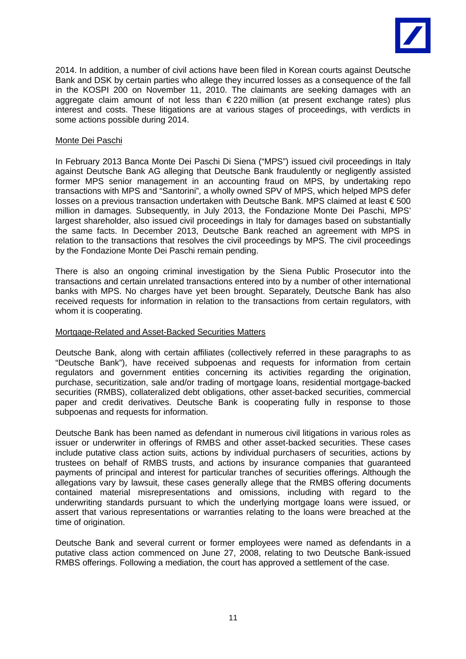

2014. In addition, a number of civil actions have been filed in Korean courts against Deutsche Bank and DSK by certain parties who allege they incurred losses as a consequence of the fall in the KOSPI 200 on November 11, 2010. The claimants are seeking damages with an aggregate claim amount of not less than €220 million (at present exchange rates) plus interest and costs. These litigations are at various stages of proceedings, with verdicts in some actions possible during 2014.

### Monte Dei Paschi

In February 2013 Banca Monte Dei Paschi Di Siena ("MPS") issued civil proceedings in Italy against Deutsche Bank AG alleging that Deutsche Bank fraudulently or negligently assisted former MPS senior management in an accounting fraud on MPS, by undertaking repo transactions with MPS and "Santorini", a wholly owned SPV of MPS, which helped MPS defer losses on a previous transaction undertaken with Deutsche Bank. MPS claimed at least € 500 million in damages. Subsequently, in July 2013, the Fondazione Monte Dei Paschi, MPS' largest shareholder, also issued civil proceedings in Italy for damages based on substantially the same facts. In December 2013, Deutsche Bank reached an agreement with MPS in relation to the transactions that resolves the civil proceedings by MPS. The civil proceedings by the Fondazione Monte Dei Paschi remain pending.

There is also an ongoing criminal investigation by the Siena Public Prosecutor into the transactions and certain unrelated transactions entered into by a number of other international banks with MPS. No charges have yet been brought. Separately, Deutsche Bank has also received requests for information in relation to the transactions from certain regulators, with whom it is cooperating.

### Mortgage-Related and Asset-Backed Securities Matters

Deutsche Bank, along with certain affiliates (collectively referred in these paragraphs to as "Deutsche Bank"), have received subpoenas and requests for information from certain regulators and government entities concerning its activities regarding the origination, purchase, securitization, sale and/or trading of mortgage loans, residential mortgage-backed securities (RMBS), collateralized debt obligations, other asset-backed securities, commercial paper and credit derivatives. Deutsche Bank is cooperating fully in response to those subpoenas and requests for information.

Deutsche Bank has been named as defendant in numerous civil litigations in various roles as issuer or underwriter in offerings of RMBS and other asset-backed securities. These cases include putative class action suits, actions by individual purchasers of securities, actions by trustees on behalf of RMBS trusts, and actions by insurance companies that guaranteed payments of principal and interest for particular tranches of securities offerings. Although the allegations vary by lawsuit, these cases generally allege that the RMBS offering documents contained material misrepresentations and omissions, including with regard to the underwriting standards pursuant to which the underlying mortgage loans were issued, or assert that various representations or warranties relating to the loans were breached at the time of origination.

Deutsche Bank and several current or former employees were named as defendants in a putative class action commenced on June 27, 2008, relating to two Deutsche Bank-issued RMBS offerings. Following a mediation, the court has approved a settlement of the case.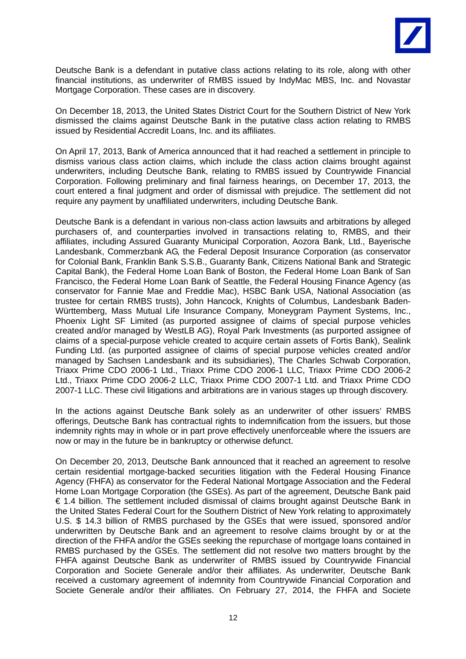

Deutsche Bank is a defendant in putative class actions relating to its role, along with other financial institutions, as underwriter of RMBS issued by IndyMac MBS, Inc. and Novastar Mortgage Corporation. These cases are in discovery.

On December 18, 2013, the United States District Court for the Southern District of New York dismissed the claims against Deutsche Bank in the putative class action relating to RMBS issued by Residential Accredit Loans, Inc. and its affiliates.

On April 17, 2013, Bank of America announced that it had reached a settlement in principle to dismiss various class action claims, which include the class action claims brought against underwriters, including Deutsche Bank, relating to RMBS issued by Countrywide Financial Corporation. Following preliminary and final fairness hearings, on December 17, 2013, the court entered a final judgment and order of dismissal with prejudice. The settlement did not require any payment by unaffiliated underwriters, including Deutsche Bank.

Deutsche Bank is a defendant in various non-class action lawsuits and arbitrations by alleged purchasers of, and counterparties involved in transactions relating to, RMBS, and their affiliates, including Assured Guaranty Municipal Corporation, Aozora Bank, Ltd., Bayerische Landesbank, Commerzbank AG, the Federal Deposit Insurance Corporation (as conservator for Colonial Bank, Franklin Bank S.S.B., Guaranty Bank, Citizens National Bank and Strategic Capital Bank), the Federal Home Loan Bank of Boston, the Federal Home Loan Bank of San Francisco, the Federal Home Loan Bank of Seattle, the Federal Housing Finance Agency (as conservator for Fannie Mae and Freddie Mac), HSBC Bank USA, National Association (as trustee for certain RMBS trusts), John Hancock, Knights of Columbus, Landesbank Baden-Württemberg, Mass Mutual Life Insurance Company, Moneygram Payment Systems, Inc., Phoenix Light SF Limited (as purported assignee of claims of special purpose vehicles created and/or managed by WestLB AG), Royal Park Investments (as purported assignee of claims of a special-purpose vehicle created to acquire certain assets of Fortis Bank), Sealink Funding Ltd. (as purported assignee of claims of special purpose vehicles created and/or managed by Sachsen Landesbank and its subsidiaries), The Charles Schwab Corporation, Triaxx Prime CDO 2006-1 Ltd., Triaxx Prime CDO 2006-1 LLC, Triaxx Prime CDO 2006-2 Ltd., Triaxx Prime CDO 2006-2 LLC, Triaxx Prime CDO 2007-1 Ltd. and Triaxx Prime CDO 2007-1 LLC. These civil litigations and arbitrations are in various stages up through discovery.

In the actions against Deutsche Bank solely as an underwriter of other issuers' RMBS offerings, Deutsche Bank has contractual rights to indemnification from the issuers, but those indemnity rights may in whole or in part prove effectively unenforceable where the issuers are now or may in the future be in bankruptcy or otherwise defunct.

On December 20, 2013, Deutsche Bank announced that it reached an agreement to resolve certain residential mortgage-backed securities litigation with the Federal Housing Finance Agency (FHFA) as conservator for the Federal National Mortgage Association and the Federal Home Loan Mortgage Corporation (the GSEs). As part of the agreement, Deutsche Bank paid € 1.4 billion. The settlement included dismissal of claims brought against Deutsche Bank in the United States Federal Court for the Southern District of New York relating to approximately U.S. \$ 14.3 billion of RMBS purchased by the GSEs that were issued, sponsored and/or underwritten by Deutsche Bank and an agreement to resolve claims brought by or at the direction of the FHFA and/or the GSEs seeking the repurchase of mortgage loans contained in RMBS purchased by the GSEs. The settlement did not resolve two matters brought by the FHFA against Deutsche Bank as underwriter of RMBS issued by Countrywide Financial Corporation and Societe Generale and/or their affiliates. As underwriter, Deutsche Bank received a customary agreement of indemnity from Countrywide Financial Corporation and Societe Generale and/or their affiliates. On February 27, 2014, the FHFA and Societe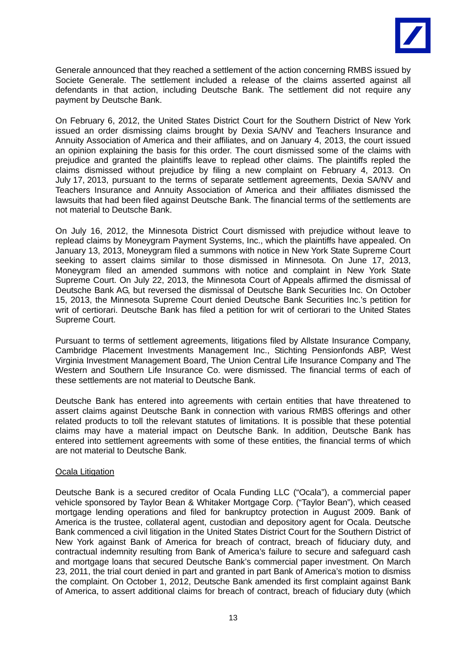

Generale announced that they reached a settlement of the action concerning RMBS issued by Societe Generale. The settlement included a release of the claims asserted against all defendants in that action, including Deutsche Bank. The settlement did not require any payment by Deutsche Bank.

On February 6, 2012, the United States District Court for the Southern District of New York issued an order dismissing claims brought by Dexia SA/NV and Teachers Insurance and Annuity Association of America and their affiliates, and on January 4, 2013, the court issued an opinion explaining the basis for this order. The court dismissed some of the claims with prejudice and granted the plaintiffs leave to replead other claims. The plaintiffs repled the claims dismissed without prejudice by filing a new complaint on February 4, 2013. On July 17, 2013, pursuant to the terms of separate settlement agreements, Dexia SA/NV and Teachers Insurance and Annuity Association of America and their affiliates dismissed the lawsuits that had been filed against Deutsche Bank. The financial terms of the settlements are not material to Deutsche Bank.

On July 16, 2012, the Minnesota District Court dismissed with prejudice without leave to replead claims by Moneygram Payment Systems, Inc., which the plaintiffs have appealed. On January 13, 2013, Moneygram filed a summons with notice in New York State Supreme Court seeking to assert claims similar to those dismissed in Minnesota. On June 17, 2013, Moneygram filed an amended summons with notice and complaint in New York State Supreme Court. On July 22, 2013, the Minnesota Court of Appeals affirmed the dismissal of Deutsche Bank AG, but reversed the dismissal of Deutsche Bank Securities Inc. On October 15, 2013, the Minnesota Supreme Court denied Deutsche Bank Securities Inc.'s petition for writ of certiorari. Deutsche Bank has filed a petition for writ of certiorari to the United States Supreme Court.

Pursuant to terms of settlement agreements, litigations filed by Allstate Insurance Company, Cambridge Placement Investments Management Inc., Stichting Pensionfonds ABP, West Virginia Investment Management Board, The Union Central Life Insurance Company and The Western and Southern Life Insurance Co. were dismissed. The financial terms of each of these settlements are not material to Deutsche Bank.

Deutsche Bank has entered into agreements with certain entities that have threatened to assert claims against Deutsche Bank in connection with various RMBS offerings and other related products to toll the relevant statutes of limitations. It is possible that these potential claims may have a material impact on Deutsche Bank. In addition, Deutsche Bank has entered into settlement agreements with some of these entities, the financial terms of which are not material to Deutsche Bank.

### Ocala Litigation

Deutsche Bank is a secured creditor of Ocala Funding LLC ("Ocala"), a commercial paper vehicle sponsored by Taylor Bean & Whitaker Mortgage Corp. ("Taylor Bean"), which ceased mortgage lending operations and filed for bankruptcy protection in August 2009. Bank of America is the trustee, collateral agent, custodian and depository agent for Ocala. Deutsche Bank commenced a civil litigation in the United States District Court for the Southern District of New York against Bank of America for breach of contract, breach of fiduciary duty, and contractual indemnity resulting from Bank of America's failure to secure and safeguard cash and mortgage loans that secured Deutsche Bank's commercial paper investment. On March 23, 2011, the trial court denied in part and granted in part Bank of America's motion to dismiss the complaint. On October 1, 2012, Deutsche Bank amended its first complaint against Bank of America, to assert additional claims for breach of contract, breach of fiduciary duty (which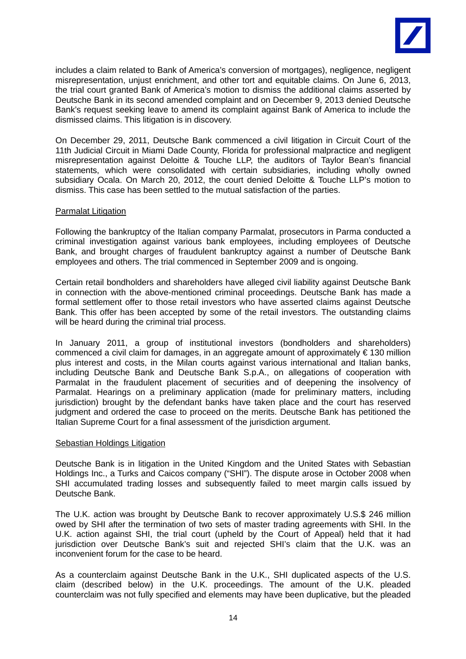

includes a claim related to Bank of America's conversion of mortgages), negligence, negligent misrepresentation, unjust enrichment, and other tort and equitable claims. On June 6, 2013, the trial court granted Bank of America's motion to dismiss the additional claims asserted by Deutsche Bank in its second amended complaint and on December 9, 2013 denied Deutsche Bank's request seeking leave to amend its complaint against Bank of America to include the dismissed claims. This litigation is in discovery.

On December 29, 2011, Deutsche Bank commenced a civil litigation in Circuit Court of the 11th Judicial Circuit in Miami Dade County, Florida for professional malpractice and negligent misrepresentation against Deloitte & Touche LLP, the auditors of Taylor Bean's financial statements, which were consolidated with certain subsidiaries, including wholly owned subsidiary Ocala. On March 20, 2012, the court denied Deloitte & Touche LLP's motion to dismiss. This case has been settled to the mutual satisfaction of the parties.

### Parmalat Litigation

Following the bankruptcy of the Italian company Parmalat, prosecutors in Parma conducted a criminal investigation against various bank employees, including employees of Deutsche Bank, and brought charges of fraudulent bankruptcy against a number of Deutsche Bank employees and others. The trial commenced in September 2009 and is ongoing.

Certain retail bondholders and shareholders have alleged civil liability against Deutsche Bank in connection with the above-mentioned criminal proceedings. Deutsche Bank has made a formal settlement offer to those retail investors who have asserted claims against Deutsche Bank. This offer has been accepted by some of the retail investors. The outstanding claims will be heard during the criminal trial process.

In January 2011, a group of institutional investors (bondholders and shareholders) commenced a civil claim for damages, in an aggregate amount of approximately  $\epsilon$  130 million plus interest and costs, in the Milan courts against various international and Italian banks, including Deutsche Bank and Deutsche Bank S.p.A., on allegations of cooperation with Parmalat in the fraudulent placement of securities and of deepening the insolvency of Parmalat. Hearings on a preliminary application (made for preliminary matters, including jurisdiction) brought by the defendant banks have taken place and the court has reserved judgment and ordered the case to proceed on the merits. Deutsche Bank has petitioned the Italian Supreme Court for a final assessment of the jurisdiction argument.

### Sebastian Holdings Litigation

Deutsche Bank is in litigation in the United Kingdom and the United States with Sebastian Holdings Inc., a Turks and Caicos company ("SHI"). The dispute arose in October 2008 when SHI accumulated trading losses and subsequently failed to meet margin calls issued by Deutsche Bank.

The U.K. action was brought by Deutsche Bank to recover approximately U.S.\$ 246 million owed by SHI after the termination of two sets of master trading agreements with SHI. In the U.K. action against SHI, the trial court (upheld by the Court of Appeal) held that it had jurisdiction over Deutsche Bank's suit and rejected SHI's claim that the U.K. was an inconvenient forum for the case to be heard.

As a counterclaim against Deutsche Bank in the U.K., SHI duplicated aspects of the U.S. claim (described below) in the U.K. proceedings. The amount of the U.K. pleaded counterclaim was not fully specified and elements may have been duplicative, but the pleaded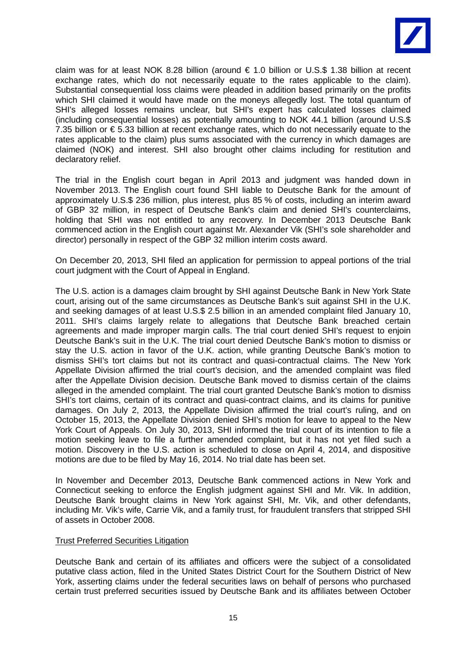

claim was for at least NOK 8.28 billion (around  $\epsilon$  1.0 billion or U.S.\$ 1.38 billion at recent exchange rates, which do not necessarily equate to the rates applicable to the claim). Substantial consequential loss claims were pleaded in addition based primarily on the profits which SHI claimed it would have made on the moneys allegedly lost. The total quantum of SHI's alleged losses remains unclear, but SHI's expert has calculated losses claimed (including consequential losses) as potentially amounting to NOK 44.1 billion (around U.S.\$ 7.35 billion or € 5.33 billion at recent exchange rates, which do not necessarily equate to the rates applicable to the claim) plus sums associated with the currency in which damages are claimed (NOK) and interest. SHI also brought other claims including for restitution and declaratory relief.

The trial in the English court began in April 2013 and judgment was handed down in November 2013. The English court found SHI liable to Deutsche Bank for the amount of approximately U.S.\$ 236 million, plus interest, plus 85 % of costs, including an interim award of GBP 32 million, in respect of Deutsche Bank's claim and denied SHI's counterclaims, holding that SHI was not entitled to any recovery. In December 2013 Deutsche Bank commenced action in the English court against Mr. Alexander Vik (SHI's sole shareholder and director) personally in respect of the GBP 32 million interim costs award.

On December 20, 2013, SHI filed an application for permission to appeal portions of the trial court judgment with the Court of Appeal in England.

The U.S. action is a damages claim brought by SHI against Deutsche Bank in New York State court, arising out of the same circumstances as Deutsche Bank's suit against SHI in the U.K. and seeking damages of at least U.S.\$ 2.5 billion in an amended complaint filed January 10, 2011. SHI's claims largely relate to allegations that Deutsche Bank breached certain agreements and made improper margin calls. The trial court denied SHI's request to enjoin Deutsche Bank's suit in the U.K. The trial court denied Deutsche Bank's motion to dismiss or stay the U.S. action in favor of the U.K. action, while granting Deutsche Bank's motion to dismiss SHI's tort claims but not its contract and quasi-contractual claims. The New York Appellate Division affirmed the trial court's decision, and the amended complaint was filed after the Appellate Division decision. Deutsche Bank moved to dismiss certain of the claims alleged in the amended complaint. The trial court granted Deutsche Bank's motion to dismiss SHI's tort claims, certain of its contract and quasi-contract claims, and its claims for punitive damages. On July 2, 2013, the Appellate Division affirmed the trial court's ruling, and on October 15, 2013, the Appellate Division denied SHI's motion for leave to appeal to the New York Court of Appeals. On July 30, 2013, SHI informed the trial court of its intention to file a motion seeking leave to file a further amended complaint, but it has not yet filed such a motion. Discovery in the U.S. action is scheduled to close on April 4, 2014, and dispositive motions are due to be filed by May 16, 2014. No trial date has been set.

In November and December 2013, Deutsche Bank commenced actions in New York and Connecticut seeking to enforce the English judgment against SHI and Mr. Vik. In addition, Deutsche Bank brought claims in New York against SHI, Mr. Vik, and other defendants, including Mr. Vik's wife, Carrie Vik, and a family trust, for fraudulent transfers that stripped SHI of assets in October 2008.

### Trust Preferred Securities Litigation

Deutsche Bank and certain of its affiliates and officers were the subject of a consolidated putative class action, filed in the United States District Court for the Southern District of New York, asserting claims under the federal securities laws on behalf of persons who purchased certain trust preferred securities issued by Deutsche Bank and its affiliates between October